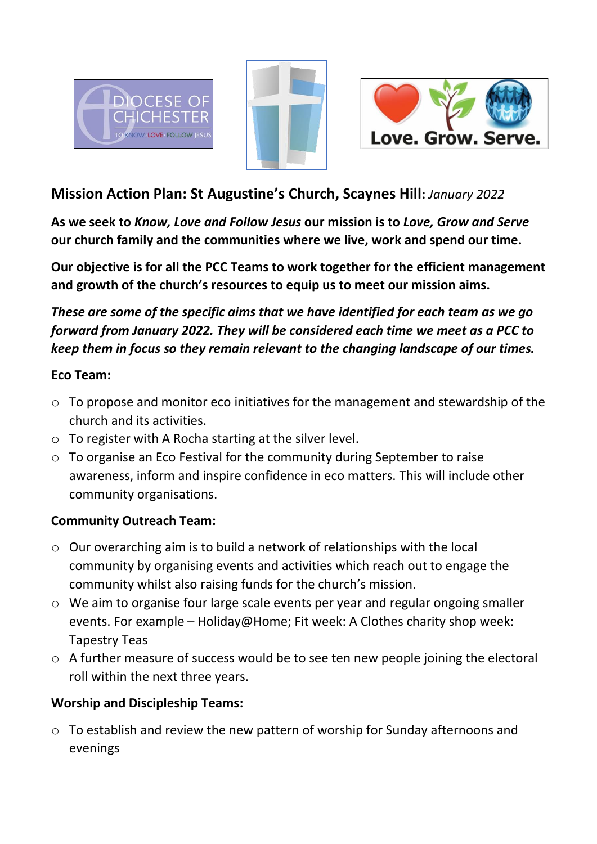





# **Mission Action Plan: St Augustine's Church, Scaynes Hill:** *January 2022*

**As we seek to** *Know, Love and Follow Jesus* **our mission is to** *Love, Grow and Serve* **our church family and the communities where we live, work and spend our time.** 

**Our objective is for all the PCC Teams to work together for the efficient management and growth of the church's resources to equip us to meet our mission aims.** 

*These are some of the specific aims that we have identified for each team as we go forward from January 2022. They will be considered each time we meet as a PCC to keep them in focus so they remain relevant to the changing landscape of our times.* 

#### **Eco Team:**

- $\circ$  To propose and monitor eco initiatives for the management and stewardship of the church and its activities.
- o To register with A Rocha starting at the silver level.
- o To organise an Eco Festival for the community during September to raise awareness, inform and inspire confidence in eco matters. This will include other community organisations.

# **Community Outreach Team:**

- o Our overarching aim is to build a network of relationships with the local community by organising events and activities which reach out to engage the community whilst also raising funds for the church's mission.
- o We aim to organise four large scale events per year and regular ongoing smaller events. For example – Holiday@Home; Fit week: A Clothes charity shop week: Tapestry Teas
- o A further measure of success would be to see ten new people joining the electoral roll within the next three years.

# **Worship and Discipleship Teams:**

o To establish and review the new pattern of worship for Sunday afternoons and evenings